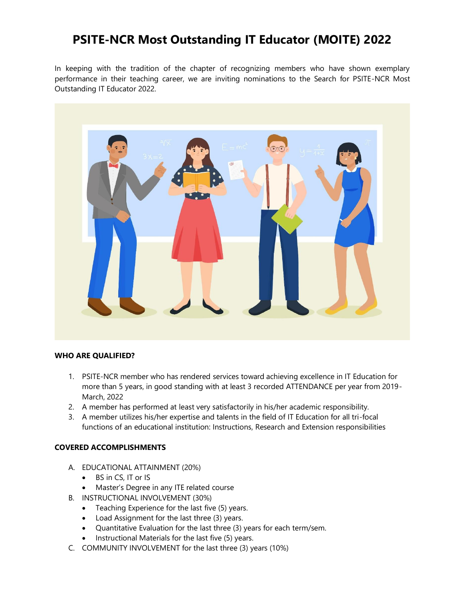# **PSITE-NCR Most Outstanding IT Educator (MOITE) 2022**

In keeping with the tradition of the chapter of recognizing members who have shown exemplary performance in their teaching career, we are inviting nominations to the Search for PSITE-NCR Most Outstanding IT Educator 2022.



### **WHO ARE QUALIFIED?**

- 1. PSITE-NCR member who has rendered services toward achieving excellence in IT Education for more than 5 years, in good standing with at least 3 recorded ATTENDANCE per year from 2019- March, 2022
- 2. A member has performed at least very satisfactorily in his/her academic responsibility.
- 3. A member utilizes his/her expertise and talents in the field of IT Education for all tri-focal functions of an educational institution: Instructions, Research and Extension responsibilities

## **COVERED ACCOMPLISHMENTS**

- A. EDUCATIONAL ATTAINMENT (20%)
	- BS in CS, IT or IS
	- Master's Degree in any ITE related course
- B. INSTRUCTIONAL INVOLVEMENT (30%)
	- Teaching Experience for the last five (5) years.
	- Load Assignment for the last three (3) years.
	- Quantitative Evaluation for the last three (3) years for each term/sem.
	- Instructional Materials for the last five (5) years.
- C. COMMUNITY INVOLVEMENT for the last three (3) years (10%)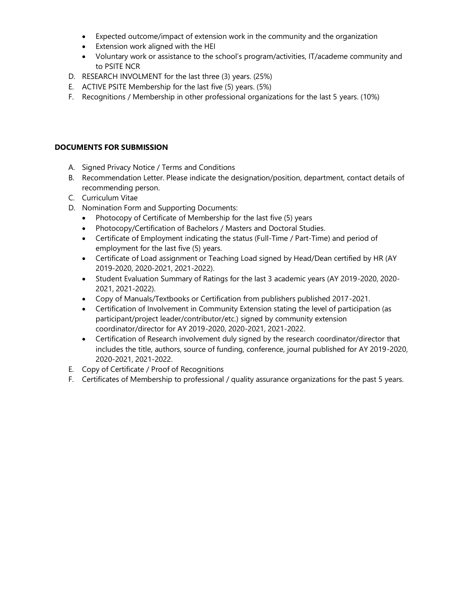- Expected outcome/impact of extension work in the community and the organization
- Extension work aligned with the HEI
- Voluntary work or assistance to the school's program/activities, IT/academe community and to PSITE NCR
- D. RESEARCH INVOLMENT for the last three (3) years. (25%)
- E. ACTIVE PSITE Membership for the last five (5) years. (5%)
- F. Recognitions / Membership in other professional organizations for the last 5 years. (10%)

## **DOCUMENTS FOR SUBMISSION**

- A. Signed Privacy Notice / Terms and Conditions
- B. Recommendation Letter. Please indicate the designation/position, department, contact details of recommending person.
- C. Curriculum Vitae
- D. Nomination Form and Supporting Documents:
	- Photocopy of Certificate of Membership for the last five (5) years
	- Photocopy/Certification of Bachelors / Masters and Doctoral Studies.
	- Certificate of Employment indicating the status (Full-Time / Part-Time) and period of employment for the last five (5) years.
	- Certificate of Load assignment or Teaching Load signed by Head/Dean certified by HR (AY 2019-2020, 2020-2021, 2021-2022).
	- Student Evaluation Summary of Ratings for the last 3 academic years (AY 2019-2020, 2020- 2021, 2021-2022).
	- Copy of Manuals/Textbooks or Certification from publishers published 2017-2021.
	- Certification of Involvement in Community Extension stating the level of participation (as participant/project leader/contributor/etc.) signed by community extension coordinator/director for AY 2019-2020, 2020-2021, 2021-2022.
	- Certification of Research involvement duly signed by the research coordinator/director that includes the title, authors, source of funding, conference, journal published for AY 2019-2020, 2020-2021, 2021-2022.
- E. Copy of Certificate / Proof of Recognitions
- F. Certificates of Membership to professional / quality assurance organizations for the past 5 years.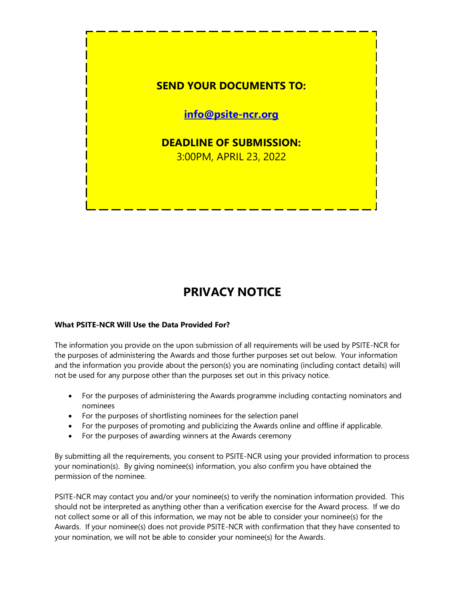

# **PRIVACY NOTICE**

## **What PSITE-NCR Will Use the Data Provided For?**

The information you provide on the upon submission of all requirements will be used by PSITE-NCR for the purposes of administering the Awards and those further purposes set out below. Your information and the information you provide about the person(s) you are nominating (including contact details) will not be used for any purpose other than the purposes set out in this privacy notice.

- For the purposes of administering the Awards programme including contacting nominators and nominees
- For the purposes of shortlisting nominees for the selection panel
- For the purposes of promoting and publicizing the Awards online and offline if applicable.
- For the purposes of awarding winners at the Awards ceremony

By submitting all the requirements, you consent to PSITE-NCR using your provided information to process your nomination(s). By giving nominee(s) information, you also confirm you have obtained the permission of the nominee.

PSITE-NCR may contact you and/or your nominee(s) to verify the nomination information provided. This should not be interpreted as anything other than a verification exercise for the Award process. If we do not collect some or all of this information, we may not be able to consider your nominee(s) for the Awards. If your nominee(s) does not provide PSITE-NCR with confirmation that they have consented to your nomination, we will not be able to consider your nominee(s) for the Awards.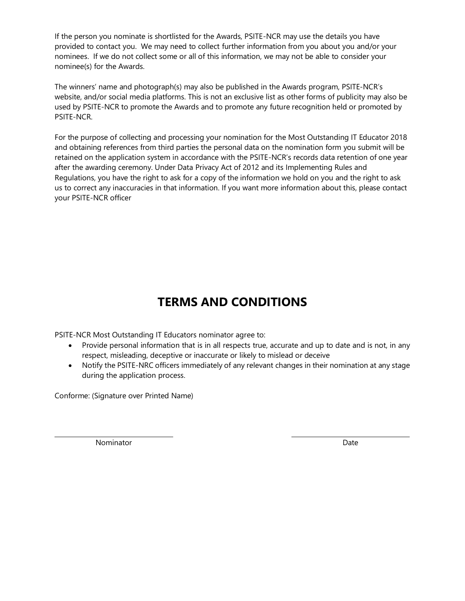If the person you nominate is shortlisted for the Awards, PSITE-NCR may use the details you have provided to contact you. We may need to collect further information from you about you and/or your nominees. If we do not collect some or all of this information, we may not be able to consider your nominee(s) for the Awards.

The winners' name and photograph(s) may also be published in the Awards program, PSITE-NCR's website, and/or social media platforms. This is not an exclusive list as other forms of publicity may also be used by PSITE-NCR to promote the Awards and to promote any future recognition held or promoted by PSITE-NCR.

For the purpose of collecting and processing your nomination for the Most Outstanding IT Educator 2018 and obtaining references from third parties the personal data on the nomination form you submit will be retained on the application system in accordance with the PSITE-NCR's records data retention of one year after the awarding ceremony. Under Data Privacy Act of 2012 and its Implementing Rules and Regulations, you have the right to ask for a copy of the information we hold on you and the right to ask us to correct any inaccuracies in that information. If you want more information about this, please contact your PSITE-NCR officer

# **TERMS AND CONDITIONS**

PSITE-NCR Most Outstanding IT Educators nominator agree to:

- Provide personal information that is in all respects true, accurate and up to date and is not, in any respect, misleading, deceptive or inaccurate or likely to mislead or deceive
- Notify the PSITE-NRC officers immediately of any relevant changes in their nomination at any stage during the application process.

Conforme: (Signature over Printed Name)

Nominator **Date**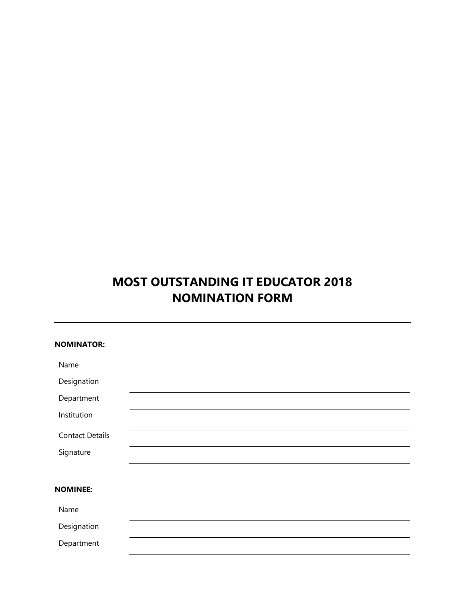# **MOST OUTSTANDING IT EDUCATOR 2018 NOMINATION FORM**

| <b>NOMINATOR:</b>      |  |  |  |
|------------------------|--|--|--|
| Name                   |  |  |  |
| Designation            |  |  |  |
| Department             |  |  |  |
| Institution            |  |  |  |
| <b>Contact Details</b> |  |  |  |
| Signature              |  |  |  |
|                        |  |  |  |
| <b>NOMINEE:</b>        |  |  |  |
| Name                   |  |  |  |
| Designation            |  |  |  |
| Department             |  |  |  |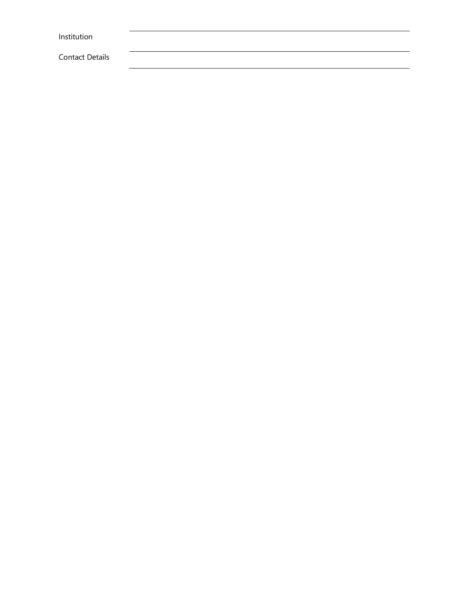| Institution            |  |  |  |
|------------------------|--|--|--|
|                        |  |  |  |
| <b>Contact Details</b> |  |  |  |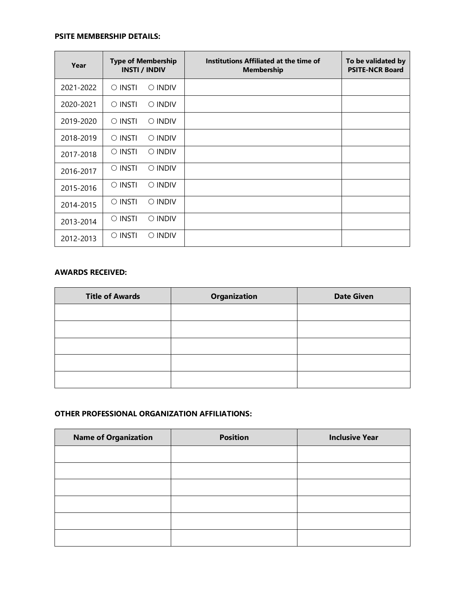### **PSITE MEMBERSHIP DETAILS:**

| Year      | <b>Type of Membership</b><br><b>INSTI</b> / <b>INDIV</b> | Institutions Affiliated at the time of<br><b>Membership</b> | To be validated by<br><b>PSITE-NCR Board</b> |
|-----------|----------------------------------------------------------|-------------------------------------------------------------|----------------------------------------------|
| 2021-2022 | $\circ$ insti<br>$\bigcirc$ INDIV                        |                                                             |                                              |
| 2020-2021 | $\circ$ INSTI<br>$\circ$ INDIV                           |                                                             |                                              |
| 2019-2020 | $\circ$ insti<br>$\circ$ INDIV                           |                                                             |                                              |
| 2018-2019 | $\circ$ insti<br>$\circ$ INDIV                           |                                                             |                                              |
| 2017-2018 | $\circ$ insti<br>$\circ$ INDIV                           |                                                             |                                              |
| 2016-2017 | $\circ$ insti<br>$\circ$ INDIV                           |                                                             |                                              |
| 2015-2016 | $\circ$ insti<br>$\circ$ indiv                           |                                                             |                                              |
| 2014-2015 | $\circ$ insti<br>$\circ$ INDIV                           |                                                             |                                              |
| 2013-2014 | $\circ$ insti<br>$\circ$ indiv                           |                                                             |                                              |
| 2012-2013 | $\circ$ insti<br>$\circ$ INDIV                           |                                                             |                                              |

## **AWARDS RECEIVED:**

| <b>Title of Awards</b> | <b>Organization</b> | <b>Date Given</b> |
|------------------------|---------------------|-------------------|
|                        |                     |                   |
|                        |                     |                   |
|                        |                     |                   |
|                        |                     |                   |
|                        |                     |                   |

# **OTHER PROFESSIONAL ORGANIZATION AFFILIATIONS:**

| <b>Name of Organization</b> | <b>Position</b> | <b>Inclusive Year</b> |
|-----------------------------|-----------------|-----------------------|
|                             |                 |                       |
|                             |                 |                       |
|                             |                 |                       |
|                             |                 |                       |
|                             |                 |                       |
|                             |                 |                       |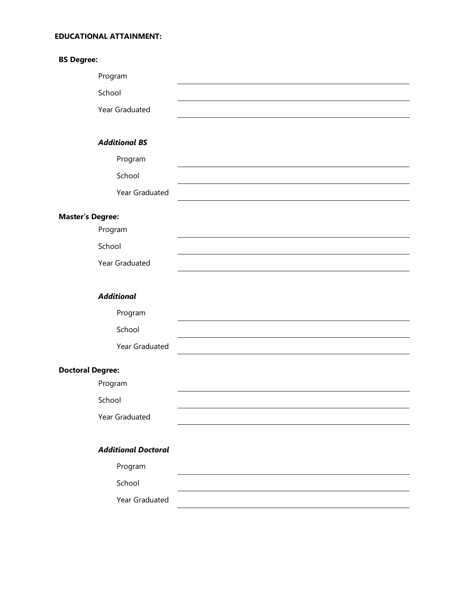### **EDUCATIONAL ATTAINMENT:**

| <b>BS Degree:</b>          |  |
|----------------------------|--|
| Program                    |  |
| School                     |  |
| Year Graduated             |  |
|                            |  |
| <b>Additional BS</b>       |  |
| Program                    |  |
| School                     |  |
| Year Graduated             |  |
| <b>Master's Degree:</b>    |  |
| Program                    |  |
| School                     |  |
| Year Graduated             |  |
| <b>Additional</b>          |  |
|                            |  |
| Program                    |  |
| School                     |  |
| Year Graduated             |  |
| <b>Doctoral Degree:</b>    |  |
| Program                    |  |
| School                     |  |
| Year Graduated             |  |
|                            |  |
| <b>Additional Doctoral</b> |  |
| Program                    |  |
| School                     |  |
| Year Graduated             |  |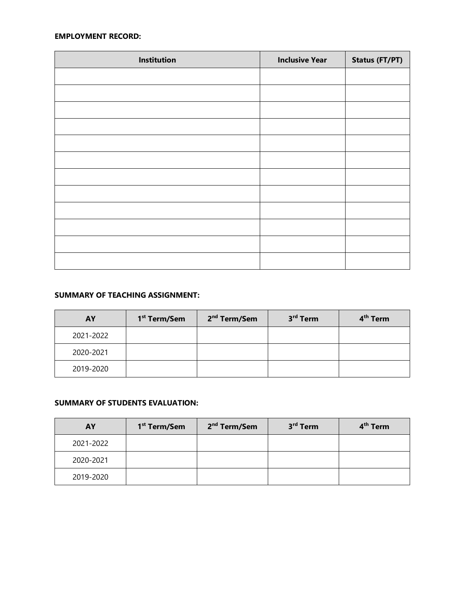### **EMPLOYMENT RECORD:**

| Institution | <b>Inclusive Year</b> | Status (FT/PT) |
|-------------|-----------------------|----------------|
|             |                       |                |
|             |                       |                |
|             |                       |                |
|             |                       |                |
|             |                       |                |
|             |                       |                |
|             |                       |                |
|             |                       |                |
|             |                       |                |
|             |                       |                |
|             |                       |                |
|             |                       |                |

## **SUMMARY OF TEACHING ASSIGNMENT:**

| AY        | 1 <sup>st</sup> Term/Sem | 2 <sup>nd</sup> Term/Sem | 3 <sup>rd</sup> Term | 4 <sup>th</sup> Term |
|-----------|--------------------------|--------------------------|----------------------|----------------------|
| 2021-2022 |                          |                          |                      |                      |
| 2020-2021 |                          |                          |                      |                      |
| 2019-2020 |                          |                          |                      |                      |

## **SUMMARY OF STUDENTS EVALUATION:**

| AY        | 1 <sup>st</sup> Term/Sem | 2 <sup>nd</sup> Term/Sem | 3 <sup>rd</sup> Term | 4 <sup>th</sup> Term |
|-----------|--------------------------|--------------------------|----------------------|----------------------|
| 2021-2022 |                          |                          |                      |                      |
| 2020-2021 |                          |                          |                      |                      |
| 2019-2020 |                          |                          |                      |                      |